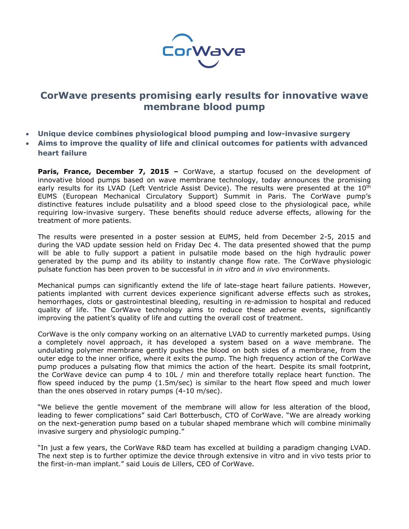

## **CorWave presents promising early results for innovative wave membrane blood pump**

- **Unique device combines physiological blood pumping and low-invasive surgery**
- **Aims to improve the quality of life and clinical outcomes for patients with advanced heart failure**

**Paris, France, December 7, 2015** – CorWave, a startup focused on the development of innovative blood pumps based on wave membrane technology, today announces the promising early results for its LVAD (Left Ventricle Assist Device). The results were presented at the 10<sup>th</sup> EUMS (European Mechanical Circulatory Support) Summit in Paris. The CorWave pump's distinctive features include pulsatility and a blood speed close to the physiological pace, while requiring low-invasive surgery. These benefits should reduce adverse effects, allowing for the treatment of more patients.

The results were presented in a poster session at EUMS, held from December 2-5, 2015 and during the VAD update session held on Friday Dec 4. The data presented showed that the pump will be able to fully support a patient in pulsatile mode based on the high hydraulic power generated by the pump and its ability to instantly change flow rate. The CorWave physiologic pulsate function has been proven to be successful in *in vitro* and *in vivo* environments.

Mechanical pumps can significantly extend the life of late-stage heart failure patients. However, patients implanted with current devices experience significant adverse effects such as strokes, hemorrhages, clots or gastrointestinal bleeding, resulting in re-admission to hospital and reduced quality of life. The CorWave technology aims to reduce these adverse events, significantly improving the patient's quality of life and cutting the overall cost of treatment.

CorWave is the only company working on an alternative LVAD to currently marketed pumps. Using a completely novel approach, it has developed a system based on a wave membrane. The undulating polymer membrane gently pushes the blood on both sides of a membrane, from the outer edge to the inner orifice, where it exits the pump. The high frequency action of the CorWave pump produces a pulsating flow that mimics the action of the heart. Despite its small footprint, the CorWave device can pump 4 to 10L / min and therefore totally replace heart function. The flow speed induced by the pump (1.5m/sec) is similar to the heart flow speed and much lower than the ones observed in rotary pumps (4-10 m/sec).

"We believe the gentle movement of the membrane will allow for less alteration of the blood, leading to fewer complications" said Carl Botterbusch, CTO of CorWave. "We are already working on the next-generation pump based on a tubular shaped membrane which will combine minimally invasive surgery and physiologic pumping."

"In just a few years, the CorWave R&D team has excelled at building a paradigm changing LVAD. The next step is to further optimize the device through extensive in vitro and in vivo tests prior to the first-in-man implant." said Louis de Lillers, CEO of CorWave.